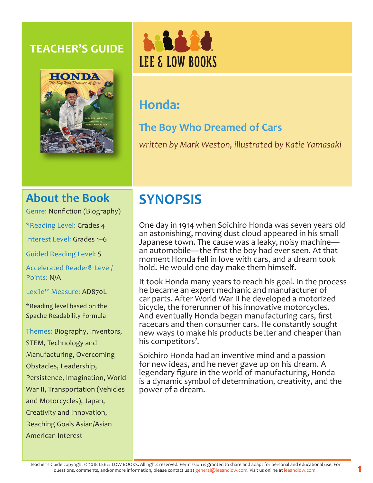## **TEACHER'S GUIDE**





# **Honda:**

# **The Boy Who Dreamed of Cars**

*written by Mark Weston, illustrated by Katie Yamasaki*

# **About the Book**

Genre: Nonfiction (Biography)

\*Reading Level: Grades 4

Interest Level: Grades 1–6

Guided Reading Level: S

Accelerated Reader® Level/ Points: N/A

Lexile™ Measure: AD870L

\*Reading level based on the Spache Readability Formula

Themes: Biography, Inventors, STEM, Technology and Manufacturing, Overcoming Obstacles, Leadership, Persistence, Imagination, World War II, Transportation (Vehicles and Motorcycles), Japan, Creativity and Innovation, Reaching Goals Asian/Asian American Interest

# **SYNOPSIS**

One day in 1914 when Soichiro Honda was seven years old an astonishing, moving dust cloud appeared in his small Japanese town. The cause was a leaky, noisy machine an automobile—the first the boy had ever seen. At that moment Honda fell in love with cars, and a dream took hold. He would one day make them himself.

It took Honda many years to reach his goal. In the process he became an expert mechanic and manufacturer of car parts. After World War II he developed a motorized bicycle, the forerunner of his innovative motorcycles. And eventually Honda began manufacturing cars, first racecars and then consumer cars. He constantly sought new ways to make his products better and cheaper than his competitors'.

Soichiro Honda had an inventive mind and a passion for new ideas, and he never gave up on his dream. A legendary figure in the world of manufacturing, Honda is a dynamic symbol of determination, creativity, and the power of a dream.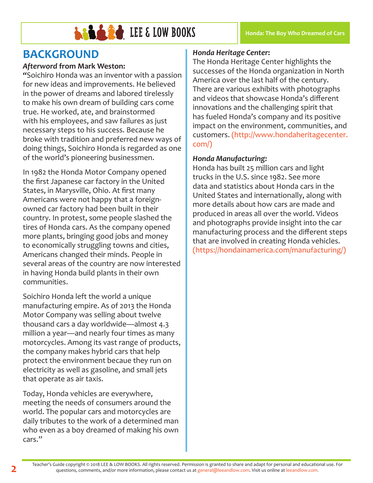

# **BACKGROUND**

## *Afterword* **from Mark Weston:**

*"*Soichiro Honda was an inventor with a passion for new ideas and improvements. He believed in the power of dreams and labored tirelessly to make his own dream of building cars come true. He worked, ate, and brainstormed with his employees, and saw failures as just necessary steps to his success. Because he broke with tradition and preferred new ways of doing things, Soichiro Honda is regarded as one of the world's pioneering businessmen.

In 1982 the Honda Motor Company opened the first Japanese car factory in the United States, in Marysville, Ohio. At first many Americans were not happy that a foreignowned car factory had been built in their country. In protest, some people slashed the tires of Honda cars. As the company opened more plants, bringing good jobs and money to economically struggling towns and cities, Americans changed their minds. People in several areas of the country are now interested in having Honda build plants in their own communities.

Soichiro Honda left the world a unique manufacturing empire. As of 2013 the Honda Motor Company was selling about twelve thousand cars a day worldwide—almost 4.3 million a year—and nearly four times as many motorcycles. Among its vast range of products, the company makes hybrid cars that help protect the environment becaue they run on electricity as well as gasoline, and small jets that operate as air taxis.

Today, Honda vehicles are everywhere, meeting the needs of consumers around the world. The popular cars and motorcycles are daily tributes to the work of a determined man who even as a boy dreamed of making his own cars."

## *Honda Heritage Center***:**

The Honda Heritage Center highlights the successes of the Honda organization in North America over the last half of the century. There are various exhibits with photographs and videos that showcase Honda's different innovations and the challenging spirit that has fueled Honda's company and its positive impact on the environment, communities, and customers. (http://www.hondaheritagecenter. com/)

### *Honda Manufacturing:*

Honda has built 25 million cars and light trucks in the U.S. since 1982. See more data and statistics about Honda cars in the United States and internationally, along with more details about how cars are made and produced in areas all over the world. Videos and photographs provide insight into the car manufacturing process and the different steps that are involved in creating Honda vehicles. (https://hondainamerica.com/manufacturing/)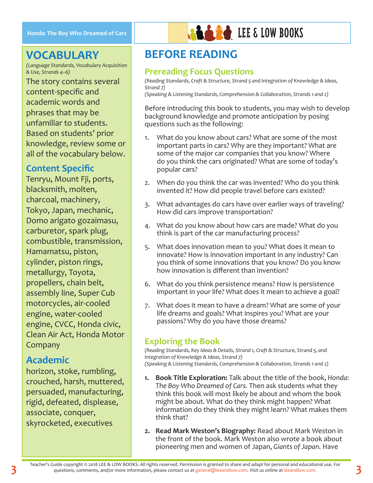## **VOCABULARY**

*(Language Standards, Vocabulary Acquisition & Use, Strands 4–6)*

The story contains several content-specific and academic words and phrases that may be unfamiliar to students. Based on students' prior knowledge, review some or all of the vocabulary below.

## **Content Specific**

Tenryu, Mount Fji, ports, blacksmith, molten, charcoal, machinery, Tokyo, Japan, mechanic, Domo arigato gozaimasu, carburetor, spark plug, combustible, transmission, Hamamatsu, piston, cylinder, piston rings, metallurgy, Toyota, propellers, chain belt, assembly line, Super Cub motorcycles, air-cooled engine, water-cooled engine, CVCC, Honda civic, Clean Air Act, Honda Motor Company

## **Academic**

horizon, stoke, rumbling, crouched, harsh, muttered, persuaded, manufacturing, rigid, defeated, displease, associate, conquer, skyrocketed, executives



## **BEFORE READING**

## **Prereading Focus Questions**

*(Reading Standards, Craft & Structure, Strand 5 and Integration of Knowledge & Ideas, Strand 7)*

*(Speaking & Listening Standards, Comprehension & Collaboration, Strands 1 and 2)*

Before introducing this book to students, you may wish to develop background knowledge and promote anticipation by posing questions such as the following:

- 1. What do you know about cars? What are some of the most important parts in cars? Why are they important? What are some of the major car companies that you know? Where do you think the cars originated? What are some of today's popular cars?
- 2. When do you think the car was invented? Who do you think invented it? How did people travel before cars existed?
- 3. What advantages do cars have over earlier ways of traveling? How did cars improve transportation?
- 4. What do you know about how cars are made? What do you think is part of the car manufacturing process?
- 5. What does innovation mean to you? What does it mean to innovate? How is innovation important in any industry? Can you think of some innovations that you know? Do you know how innovation is different than invention?
- 6. What do you think persistence means? How is persistence important in your life? What does it mean to achieve a goal?
- 7. What does it mean to have a dream? What are some of your life dreams and goals? What inspires you? What are your passions? Why do you have those dreams?

## **Exploring the Book**

*(Reading Standards, Key Ideas & Details, Strand 1, Craft & Structure, Strand 5, and Integration of Knowledge & Ideas, Strand 7) (Speaking & Listening Standards, Comprehension & Collaboration, Strands 1 and 2)*

- **1. Book Title Exploration:** Talk about the title of the book, *Honda: The Boy Who Dreamed of Cars.* Then ask students what they think this book will most likely be about and whom the book might be about. What do they think might happen? What information do they think they might learn? What makes them think that?
- **2. Read Mark Weston's Biography:** Read about Mark Weston in the front of the book. Mark Weston also wrote a book about pioneering men and women of Japan, *Giants of Japan.* Have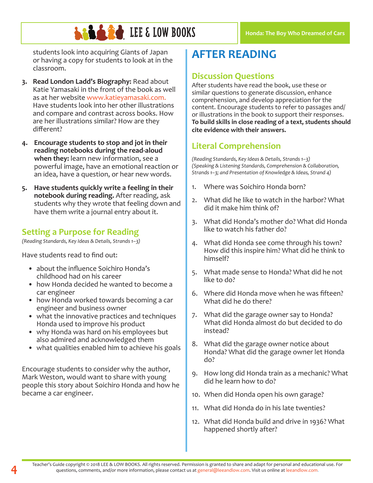students look into acquiring Giants of Japan or having a copy for students to look at in the classroom.

- **3. Read London Ladd's Biography:** Read about Katie Yamasaki in the front of the book as well as at her website www.katieyamasaki.com. Have students look into her other illustrations and compare and contrast across books. How are her illustrations similar? How are they different?
- **4. Encourage students to stop and jot in their reading notebooks during the read-aloud when they:** learn new information, see a powerful image, have an emotional reaction or an idea, have a question, or hear new words.
- **5. Have students quickly write a feeling in their notebook during reading.** After reading, ask students why they wrote that feeling down and have them write a journal entry about it.

## **Setting a Purpose for Reading**

*(Reading Standards, Key Ideas & Details, Strands 1–3)*

Have students read to find out:

- about the influence Soichiro Honda's childhood had on his career
- how Honda decided he wanted to become a car engineer
- how Honda worked towards becoming a car engineer and business owner
- what the innovative practices and techniques Honda used to improve his product
- why Honda was hard on his employees but also admired and acknowledged them
- what qualities enabled him to achieve his goals

Encourage students to consider why the author, Mark Weston, would want to share with young people this story about Soichiro Honda and how he became a car engineer.

# **AFTER READING**

## **Discussion Questions**

After students have read the book, use these or similar questions to generate discussion, enhance comprehension, and develop appreciation for the content. Encourage students to refer to passages and/ or illustrations in the book to support their responses. **To build skills in close reading of a text, students should cite evidence with their answers.**

## **Literal Comprehension**

*(Reading Standards, Key Ideas & Details, Strands 1–3) (Speaking & Listening Standards, Comprehension & Collaboration, Strands 1–3; and Presentation of Knowledge & Ideas, Strand 4)*

- 1. Where was Soichiro Honda born?
- 2. What did he like to watch in the harbor? What did it make him think of?
- 3. What did Honda's mother do? What did Honda like to watch his father do?
- 4. What did Honda see come through his town? How did this inspire him? What did he think to himself?
- 5. What made sense to Honda? What did he not like to do?
- 6. Where did Honda move when he was fifteen? What did he do there?
- 7. What did the garage owner say to Honda? What did Honda almost do but decided to do instead?
- 8. What did the garage owner notice about Honda? What did the garage owner let Honda do?
- 9. How long did Honda train as a mechanic? What did he learn how to do?
- 10. When did Honda open his own garage?
- 11. What did Honda do in his late twenties?
- 12. What did Honda build and drive in 1936? What happened shortly after?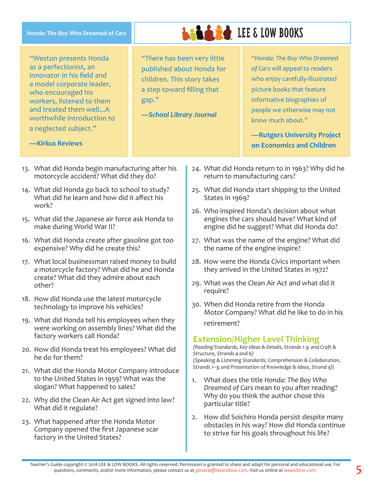| Honda: The Boy Who Dreamed of Cars                                                                                                                                                                                                                                 | <b>LEE &amp; LOW BOOKS</b>                                                                                                                               |                                                                                                                                                                                                                                                                              |
|--------------------------------------------------------------------------------------------------------------------------------------------------------------------------------------------------------------------------------------------------------------------|----------------------------------------------------------------------------------------------------------------------------------------------------------|------------------------------------------------------------------------------------------------------------------------------------------------------------------------------------------------------------------------------------------------------------------------------|
| "Weston presents Honda<br>as a perfectionist, an<br>innovator in his field and<br>a model corporate leader,<br>who encouraged his<br>workers, listened to them<br>and treated them wellA<br>worthwhile introduction to<br>a neglected subject."<br>-Kirkus Reviews | "There has been very little<br>published about Honda for<br>children. This story takes<br>a step toward filling that<br>gap."<br>-School Library Journal | "Honda: The Boy Who Dreamed<br>of Cars will appeal to readers<br>who enjoy carefully-illustrated<br>picture books that feature<br>informative biographies of<br>people we otherwise may not<br>know much about."<br>-Rutgers University Project<br>on Economics and Children |

- 13. What did Honda begin manufacturing after his motorcycle accident? What did they do?
- 14. What did Honda go back to school to study? What did he learn and how did it affect his work?
- 15. What did the Japanese air force ask Honda to make during World War II?
- 16. What did Honda create after gasoline got too expensive? Why did he create this?
- 17. What local businessman raised money to build a motorcycle factory? What did he and Honda create? What did they admire about each other?
- 18. How did Honda use the latest motorcycle technology to improve his vehicles?
- 19. What did Honda tell his employees when they were working on assembly lines? What did the factory workers call Honda?
- 20. How did Honda treat his employees? What did he do for them?
- 21. What did the Honda Motor Company introduce to the United States in 1959? What was the slogan? What happened to sales?
- 22. Why did the Clean Air Act get signed into law? What did it regulate?
- 23. What happened after the Honda Motor Company opened the first Japanese scar factory in the United States?
- 24. What did Honda return to in 1963? Why did he return to manufacturing cars?
- 25. What did Honda start shipping to the United States in 1969?
- 26. Who inspired Honda's decision about what engines the cars should have? What kind of engine did he suggest? What did Honda do?
- 27. What was the name of the engine? What did the name of the engine inspire?
- 28. How were the Honda Civics important when they arrived in the United States in 1972?
- 29. What was the Clean Air Act and what did it require?
- 30. When did Honda retire from the Honda Motor Company? What did he like to do in his retirement?

## **Extension/Higher Level Thinking**

*(Reading Standards, Key Ideas & Details, Strands 1-3; and Craft & Structure, Strands 4 and 6) (Speaking & Listening Standards, Comprehension & Collaboration, Strands 1–3; and Presentation of Knowledge & Ideas, Strand 4)\*

- 1. What does the title *Honda: The Boy Who Dreamed of Cars* mean to you after reading? Why do you think the author chose this particular title?
- 2. How did Soichiro Honda persist despite many obstacles in his way? How did Honda continue to strive for his goals throughout his life?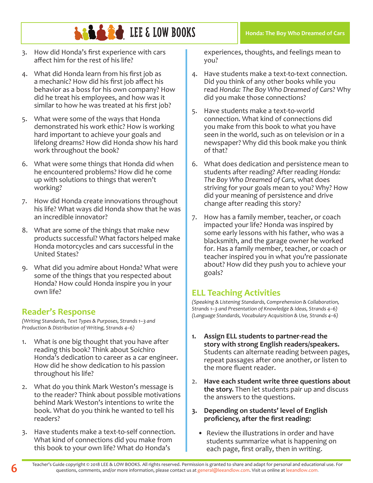

- 3. How did Honda's first experience with cars affect him for the rest of his life?
- 4. What did Honda learn from his first job as a mechanic? How did his first job affect his behavior as a boss for his own company? How did he treat his employees, and how was it similar to how he was treated at his first job?
- 5. What were some of the ways that Honda demonstrated his work ethic? How is working hard important to achieve your goals and lifelong dreams? How did Honda show his hard work throughout the book?
- 6. What were some things that Honda did when he encountered problems? How did he come up with solutions to things that weren't working?
- 7. How did Honda create innovations throughout his life? What ways did Honda show that he was an incredible innovator?
- 8. What are some of the things that make new products successful? What factors helped make Honda motorcycles and cars successful in the United States?
- 9. What did you admire about Honda? What were some of the things that you respected about Honda? How could Honda inspire you in your own life?

## **Reader's Response**

*(Writing Standards, Text Types & Purposes, Strands 1–3 and Production & Distribution of Writing, Strands 4–6)*

- 1. What is one big thought that you have after reading this book? Think about Soichiro Honda's dedication to career as a car engineer. How did he show dedication to his passion throughout his life?
- 2. What do you think Mark Weston's message is to the reader? Think about possible motivations behind Mark Weston's intentions to write the book. What do you think he wanted to tell his readers?
- 3. Have students make a text-to-self connection. What kind of connections did you make from this book to your own life? What do Honda's

experiences, thoughts, and feelings mean to

**Honda: The Boy Who Dreamed of Cars**

4. Have students make a text-to-text connection. Did you think of any other books while you read *Honda: The Boy Who Dreamed of Car*s? Why did you make those connections?

you?

- 5. Have students make a text-to-world connection. What kind of connections did you make from this book to what you have seen in the world, such as on television or in a newspaper? Why did this book make you think of that?
- 6. What does dedication and persistence mean to students after reading? After reading *Honda: The Boy Who Dreamed of Cars,* what does striving for your goals mean to you? Why? How did your meaning of persistence and drive change after reading this story?
- 7. How has a family member, teacher, or coach impacted your life? Honda was inspired by some early lessons with his father, who was a blacksmith, and the garage owner he worked for. Has a family member, teacher, or coach or teacher inspired you in what you're passionate about? How did they push you to achieve your goals?

## **ELL Teaching Activities**

*(Speaking & Listening Standards, Comprehension & Collaboration, Strands 1–3 and Presentation of Knowledge & Ideas, Strands 4–6) (Language Standards, Vocabulary Acquisition & Use, Strands 4–6)*

- **1. Assign ELL students to partner-read the story with strong English readers/speakers.** Students can alternate reading between pages, repeat passages after one another, or listen to the more fluent reader.
- 2. **Have each student write three questions about the story.** Then let students pair up and discuss the answers to the questions.
- **3. Depending on students' level of English proficiency, after the first reading:**
	- Review the illustrations in order and have students summarize what is happening on each page, first orally, then in writing.

**6** Teacher's Guide copyright © 2018 LEE & LOW BOOKS. All rights reserved. Permission is granted to share and adapt for personal and educational use. For questions, comments, and/or more information, please contact us at general@leeandlow.com. Visit us online at leeandlow.com.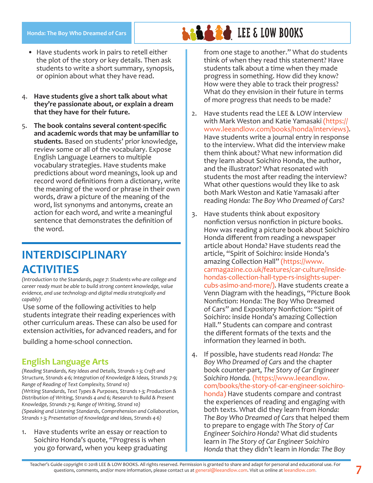#### **Honda: The Boy Who Dreamed of Cars**

- Have students work in pairs to retell either the plot of the story or key details. Then ask students to write a short summary, synopsis, or opinion about what they have read.
- 4. **Have students give a short talk about what they're passionate about, or explain a dream that they have for their future.**
- 5. **The book contains several content-specific and academic words that may be unfamiliar to students.** Based on students' prior knowledge, review some or all of the vocabulary. Expose English Language Learners to multiple vocabulary strategies. Have students make predictions about word meanings, look up and record word definitions from a dictionary, write the meaning of the word or phrase in their own words, draw a picture of the meaning of the word, list synonyms and antonyms, create an action for each word, and write a meaningful sentence that demonstrates the definition of the word.

# **INTERDISCIPLINARY ACTIVITIES**

*(Introduction to the Standards, page 7: Students who are college and career ready must be able to build strong content knowledge, value evidence, and use technology and digital media strategically and capably)*

Use some of the following activities to help students integrate their reading experiences with other curriculum areas. These can also be used for extension activities, for advanced readers, and for

building a home-school connection.

## **English Language Arts**

*(Reading Standards, Key Ideas and Details, Strands 1-3; Craft and Structure, Strands 4-6; Integration of Knowledge & Ideas, Strands 7-9; Range of Reading of Text Complexity, Strand 10) (Writing Standards, Text Types & Purposes, Strands 1-3; Production & Distribution of Writing, Strands 4 and 6; Research to Build & Present Knowledge, Strands 7-9; Range of Writing, Strand 10) (Speaking and Listening Standards, Comprehension and Collaboration, Strands 1-3; Presentation of Knowledge and Ideas, Strands 4-6)*

1. Have students write an essay or reaction to Soichiro Honda's quote, "Progress is when you go forward, when you keep graduating from one stage to another." What do students think of when they read this statement? Have students talk about a time when they made progress in something. How did they know? How were they able to track their progress? What do they envision in their future in terms of more progress that needs to be made?

- 2. Have students read the LEE & LOW interview with Mark Weston and Katie Yamasaki (https:// www.leeandlow.com/books/honda/interviews). Have students write a journal entry in response to the interview. What did the interview make them think about? What new information did they learn about Soichiro Honda, the author, and the illustrator? What resonated with students the most after reading the interview? What other questions would they like to ask both Mark Weston and Katie Yamasaki after reading *Honda: The Boy Who Dreamed of Cars*?
- 3. Have students think about expository nonfiction versus nonfiction in picture books. How was reading a picture book about Soichiro Honda different from reading a newspaper article about Honda? Have students read the article, "Spirit of Soichiro: inside Honda's amazing Collection Hall" (https://www. carmagazine.co.uk/features/car-culture/insidehondas-collection-hall-type-rs-insights-supercubs-asimo-and-more/). Have students create a Venn Diagram with the headings, "Picture Book Nonfiction: Honda: The Boy Who Dreamed of Cars" and Expository Nonfiction: "Spirit of Soichiro: inside Honda's amazing Collection Hall." Students can compare and contrast the different formats of the texts and the information they learned in both.
- 4. If possible, have students read *Honda: The Boy Who Dreamed of Cars* and the chapter book counter-part, *The Story of Car Engineer Soichiro Honda.* (https://www.leeandlow. com/books/the-story-of-car-engineer-soichirohonda) Have students compare and contrast the experiences of reading and engaging with both texts. What did they learn from *Honda: The Boy Who Dreamed of Cars* that helped them to prepare to engage with *The Story of Car Engineer Soichiro Honda*? What did students learn in *The Story of Car Engineer Soichiro Honda* that they didn't learn in *Honda: The Boy*

# **LEE & LOW BOOKS**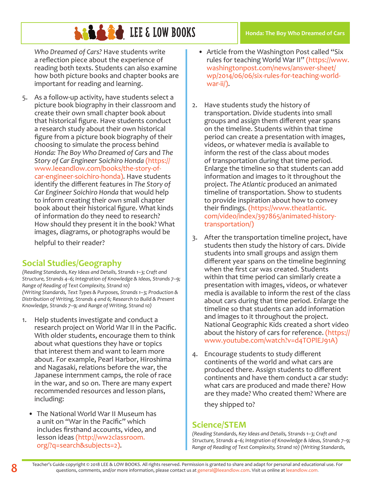# **LEE & LOW BOOKS**

*Who Dreamed of Cars?* Have students write a reflection piece about the experience of reading both texts. Students can also examine how both picture books and chapter books are important for reading and learning.

5. As a follow-up activity, have students select a picture book biography in their classroom and create their own small chapter book about that historical figure. Have students conduct a research study about their own historical figure from a picture book biography of their choosing to simulate the process behind *Honda: The Boy Who Dreamed of Cars* and *The Story of Car Engineer Soichiro Honda* (https:// www.leeandlow.com/books/the-story-ofcar-engineer-soichiro-honda). Have students identify the different features in *The Story of Car Engineer Soichiro Honda* that would help to inform creating their own small chapter book about their historical figure. What kinds of information do they need to research? How should they present it in the book? What images, diagrams, or photographs would be

helpful to their reader?

## **Social Studies/Geography**

*(Reading Standards, Key Ideas and Details, Strands 1–3; Craft and Structure, Strands 4–6; Integration of Knowledge & Ideas, Strands 7–9; Range of Reading of Text Complexity, Strand 10) (Writing Standards, Text Types & Purposes, Strands 1–3; Production & Distribution of Writing, Strands 4 and 6; Research to Build & Present Knowledge, Strands 7–9; and Range of Writing, Strand 10)*

- 1. Help students investigate and conduct a research project on World War II in the Pacific. With older students, encourage them to think about what questions they have or topics that interest them and want to learn more about. For example, Pearl Harbor, Hiroshima and Nagasaki, relations before the war, the Japanese internment camps, the role of race in the war, and so on. There are many expert recommended resources and lesson plans, including:
	- The National World War II Museum has a unit on "War in the Pacific" which includes firsthand accounts, video, and lesson ideas (http://ww2classroom. org/?q=search&subjects=2).
- Article from the Washington Post called "Six rules for teaching World War II" (https://www. washingtonpost.com/news/answer-sheet/ wp/2014/06/06/six-rules-for-teaching-worldwar-ii/).
- 2. Have students study the history of transportation. Divide students into small groups and assign them different year spans on the timeline. Students within that time period can create a presentation with images, videos, or whatever media is available to inform the rest of the class about modes of transportation during that time period. Enlarge the timeline so that students can add information and images to it throughout the project. *The Atlantic* produced an animated timeline of transportation. Show to students to provide inspiration about how to convey their findings. (https://www.theatlantic. com/video/index/397865/animated-historytransportation/)
- 3. After the transportation timeline project, have students then study the history of cars. Divide students into small groups and assign them different year spans on the timeline beginning when the first car was created. Students within that time period can similarly create a presentation with images, videos, or whatever media is available to inform the rest of the class about cars during that time period. Enlarge the timeline so that students can add information and images to it throughout the project. National Geographic Kids created a short video about the history of cars for reference. (https:// www.youtube.com/watch?v=d4TOPlEJ91A)
- 4. Encourage students to study different continents of the world and what cars are produced there. Assign students to different continents and have them conduct a car study: what cars are produced and made there? How are they made? Who created them? Where are

they shipped to?

## **Science/STEM**

*(Reading Standards, Key Ideas and Details, Strands 1–3; Craft and Structure, Strands 4–6; Integration of Knowledge & Ideas, Strands 7–9; Range of Reading of Text Complexity, Strand 10) (Writing Standards,*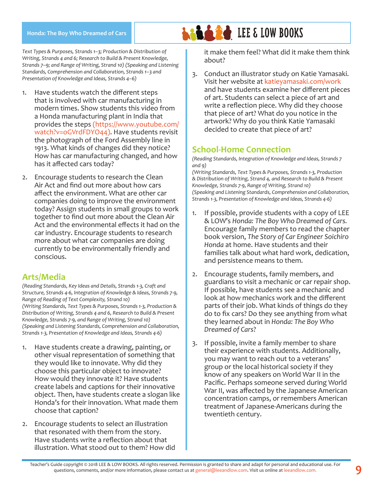#### **Honda: The Boy Who Dreamed of Cars**

*Text Types & Purposes, Strands 1–3; Production & Distribution of Writing, Strands 4 and 6; Research to Build & Present Knowledge, Strands 7–9; and Range of Writing, Strand 10) (Speaking and Listening Standards, Comprehension and Collaboration, Strands 1–3 and Presentation of Knowledge and Ideas, Strands 4–6)*

- 1. Have students watch the different steps that is involved with car manufacturing in modern times. Show students this video from a Honda manufacturing plant in India that provides the steps (https://www.youtube.com/ watch?v=oGVrdFDYO44). Have students revisit the photograph of the Ford Assembly line in 1913. What kinds of changes did they notice? How has car manufacturing changed, and how has it affected cars today?
- 2. Encourage students to research the Clean Air Act and find out more about how cars affect the environment. What are other car companies doing to improve the environment today? Assign students in small groups to work together to find out more about the Clean Air Act and the environmental effects it had on the car industry. Encourage students to research more about what car companies are doing currently to be environmentally friendly and conscious.

### **Arts/Media**

*(Reading Standards, Key Ideas and Details, Strands 1-3, Craft and Structure, Strands 4-6, Integration of Knowledge & Ideas, Strands 7-9, Range of Reading of Text Complexity, Strand 10) (Writing Standards, Text Types & Purposes, Strands 1-3, Production & Distribution of Writing, Strands 4 and 6, Research to Build & Present Knowledge, Strands 7-9, and Range of Writing, Strand 10) (Speaking and Listening Standards, Comprehension and Collaboration, Strands 1-3, Presentation of Knowledge and Ideas, Strands 4-6)*

- 1. Have students create a drawing, painting, or other visual representation of something that they would like to innovate. Why did they choose this particular object to innovate? How would they innovate it? Have students create labels and captions for their innovative object. Then, have students create a slogan like Honda's for their innovation. What made them choose that caption?
- 2. Encourage students to select an illustration that resonated with them from the story. Have students write a reflection about that illustration. What stood out to them? How did

it make them feel? What did it make them think about?

3. Conduct an illustrator study on Katie Yamasaki. Visit her website at katieyamasaki.com/work and have students examine her different pieces of art. Students can select a piece of art and write a reflection piece. Why did they choose that piece of art? What do you notice in the artwork? Why do you think Katie Yamasaki decided to create that piece of art?

### **School-Home Connection**

**LEE & LOW BOOKS** 

*(Reading Standards, Integration of Knowledge and Ideas, Strands 7 and 9)*

*(Writing Standards, Text Types & Purposes, Strands 1-3, Production & Distribution of Writing, Strand 4, and Research to Build & Present Knowledge, Strands 7-9, Range of Writing, Strand 10) (Speaking and Listening Standards, Comprehension and Collaboration, Strands 1-3, Presentation of Knowledge and Ideas, Strands 4-6)*

- 1. If possible, provide students with a copy of LEE & LOW's *Honda: The Boy Who Dreamed of Cars.*  Encourage family members to read the chapter book version, *The Story of Car Engineer Soichiro Honda* at home. Have students and their families talk about what hard work, dedication, and persistence means to them.
- 2. Encourage students, family members, and guardians to visit a mechanic or car repair shop. If possible, have students see a mechanic and look at how mechanics work and the different parts of their job. What kinds of things do they do to fix cars? Do they see anything from what they learned about in *Honda: The Boy Who Dreamed of Cars*?
- 3. If possible, invite a family member to share their experience with students. Additionally, you may want to reach out to a veterans' group or the local historical society if they know of any speakers on World War II in the Pacific. Perhaps someone served during World War II, was affected by the Japanese American concentration camps, or remembers American treatment of Japanese-Americans during the twentieth century.

Teacher's Guide copyright © 2018 LEE & LOW BOOKS. All rights reserved. Permission is granted to share and adapt for personal and educational use. For<br>Questions, comments, and/or more information, please contact us at g<mark>en</mark>